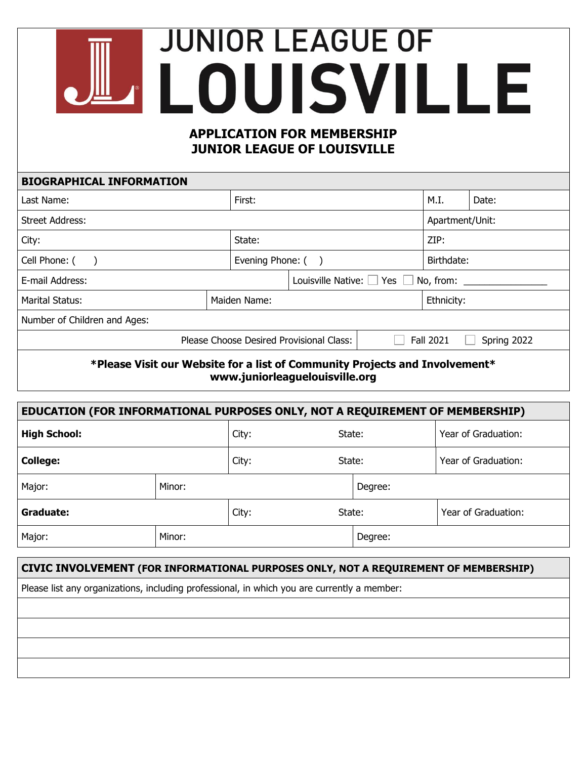## **JUNIOR LEAGUE OF ALOUISVILLE APPLICATION FOR MEMBERSHIP JUNIOR LEAGUE OF LOUISVILLE**

| <b>BIOGRAPHICAL INFORMATION</b>                                             |                   |                                       |            |                                 |       |            |  |
|-----------------------------------------------------------------------------|-------------------|---------------------------------------|------------|---------------------------------|-------|------------|--|
| Last Name:                                                                  |                   | First:                                |            | M.I.                            | Date: |            |  |
| <b>Street Address:</b>                                                      |                   |                                       |            | Apartment/Unit:                 |       |            |  |
| City:                                                                       |                   | State:                                |            | ZIP:                            |       |            |  |
| Cell Phone: (                                                               | Evening Phone: () |                                       | Birthdate: |                                 |       |            |  |
| E-mail Address:                                                             |                   | Louisville Native: □ Yes<br>No, from: |            |                                 |       |            |  |
| Marital Status:<br>Maiden Name:                                             |                   |                                       |            |                                 |       | Ethnicity: |  |
| Number of Children and Ages:                                                |                   |                                       |            |                                 |       |            |  |
| Please Choose Desired Provisional Class:                                    |                   |                                       |            | <b>Fall 2021</b><br>Spring 2022 |       |            |  |
| *Please Visit our Website for a list of Community Projects and Involvement* |                   |                                       |            |                                 |       |            |  |

**www.juniorleaguelouisville.org**

| EDUCATION (FOR INFORMATIONAL PURPOSES ONLY, NOT A REQUIREMENT OF MEMBERSHIP) |        |       |        |         |                     |  |  |
|------------------------------------------------------------------------------|--------|-------|--------|---------|---------------------|--|--|
| <b>High School:</b>                                                          |        | City: | State: |         | Year of Graduation: |  |  |
| <b>College:</b>                                                              |        | City: | State: |         | Year of Graduation: |  |  |
| Major:                                                                       | Minor: |       |        | Degree: |                     |  |  |
| Graduate:                                                                    |        | City: | State: |         | Year of Graduation: |  |  |
| Major:                                                                       | Minor: |       |        | Degree: |                     |  |  |

## **CIVIC INVOLVEMENT (FOR INFORMATIONAL PURPOSES ONLY, NOT A REQUIREMENT OF MEMBERSHIP)**

Please list any organizations, including professional, in which you are currently a member: